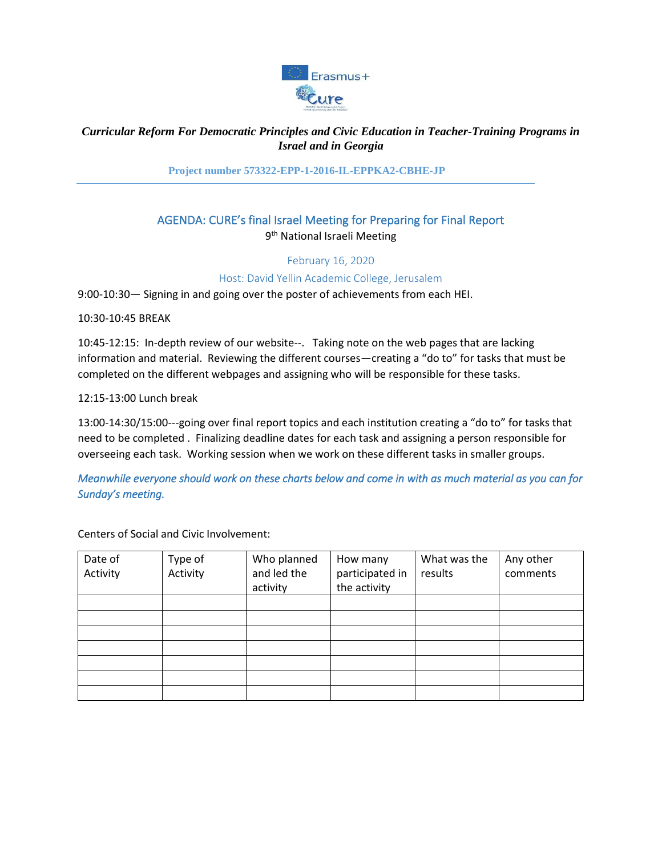

## *Curricular Reform For Democratic Principles and Civic Education in Teacher-Training Programs in Israel and in Georgia*

**Project number 573322-EPP-1-2016-IL-EPPKA2-CBHE-JP**

# AGENDA: CURE's final Israel Meeting for Preparing for Final Report 9<sup>th</sup> National Israeli Meeting

February 16, 2020

Host: David Yellin Academic College, Jerusalem

9:00-10:30— Signing in and going over the poster of achievements from each HEI.

10:30-10:45 BREAK

10:45-12:15: In-depth review of our website--. Taking note on the web pages that are lacking information and material. Reviewing the different courses—creating a "do to" for tasks that must be completed on the different webpages and assigning who will be responsible for these tasks.

12:15-13:00 Lunch break

13:00-14:30/15:00---going over final report topics and each institution creating a "do to" for tasks that need to be completed . Finalizing deadline dates for each task and assigning a person responsible for overseeing each task. Working session when we work on these different tasks in smaller groups.

*Meanwhile everyone should work on these charts below and come in with as much material as you can for Sunday's meeting.* 

Centers of Social and Civic Involvement:

| Date of  | Type of  | Who planned | How many        | What was the | Any other |
|----------|----------|-------------|-----------------|--------------|-----------|
| Activity | Activity | and led the | participated in | results      | comments  |
|          |          | activity    | the activity    |              |           |
|          |          |             |                 |              |           |
|          |          |             |                 |              |           |
|          |          |             |                 |              |           |
|          |          |             |                 |              |           |
|          |          |             |                 |              |           |
|          |          |             |                 |              |           |
|          |          |             |                 |              |           |